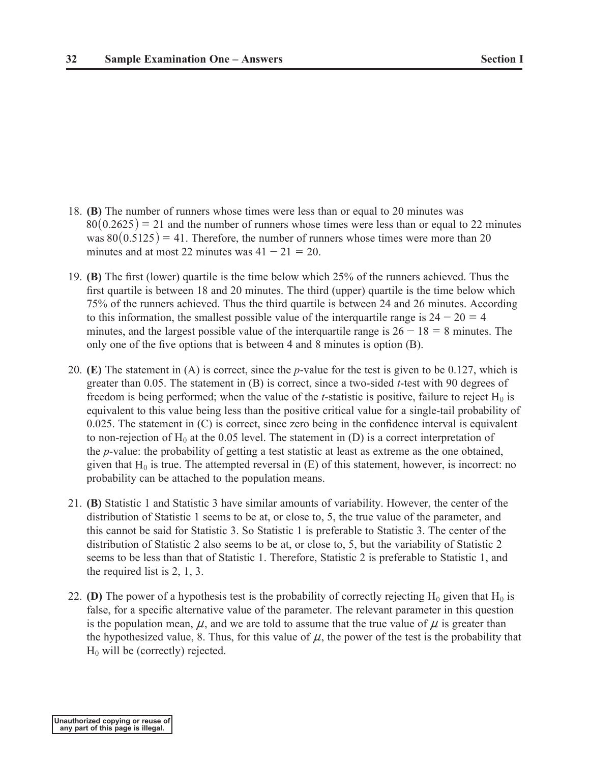- 18. **(B)** The number of runners whose times were less than or equal to 20 minutes was  $80(0.2625) = 21$  and the number of runners whose times were less than or equal to 22 minutes was  $80(0.5125) = 41$ . Therefore, the number of runners whose times were more than 20 minutes and at most 22 minutes was  $41 - 21 = 20$ .
- 19. **(B)** The first (lower) quartile is the time below which 25% of the runners achieved. Thus the first quartile is between 18 and 20 minutes. The third (upper) quartile is the time below which 75% of the runners achieved. Thus the third quartile is between 24 and 26 minutes. According to this information, the smallest possible value of the interquartile range is  $24 - 20 = 4$ minutes, and the largest possible value of the interquartile range is  $26 - 18 = 8$  minutes. The only one of the five options that is between 4 and 8 minutes is option (B).
- 20. **(E)** The statement in (A) is correct, since the *p*-value for the test is given to be 0.127, which is greater than 0.05. The statement in (B) is correct, since a two-sided *t*-test with 90 degrees of freedom is being performed; when the value of the *t*-statistic is positive, failure to reject  $H_0$  is equivalent to this value being less than the positive critical value for a single-tail probability of 0.025. The statement in (C) is correct, since zero being in the confidence interval is equivalent to non-rejection of  $H_0$  at the 0.05 level. The statement in (D) is a correct interpretation of the *p*-value: the probability of getting a test statistic at least as extreme as the one obtained, given that  $H_0$  is true. The attempted reversal in (E) of this statement, however, is incorrect: no probability can be attached to the population means.
- 21. **(B)** Statistic 1 and Statistic 3 have similar amounts of variability. However, the center of the distribution of Statistic 1 seems to be at, or close to, 5, the true value of the parameter, and this cannot be said for Statistic 3. So Statistic 1 is preferable to Statistic 3. The center of the distribution of Statistic 2 also seems to be at, or close to, 5, but the variability of Statistic 2 seems to be less than that of Statistic 1. Therefore, Statistic 2 is preferable to Statistic 1, and the required list is 2, 1, 3.
- 22. **(D)** The power of a hypothesis test is the probability of correctly rejecting  $H_0$  given that  $H_0$  is false, for a specific alternative value of the parameter. The relevant parameter in this question is the population mean,  $\mu$ , and we are told to assume that the true value of  $\mu$  is greater than the hypothesized value, 8. Thus, for this value of  $\mu$ , the power of the test is the probability that  $H_0$  will be (correctly) rejected.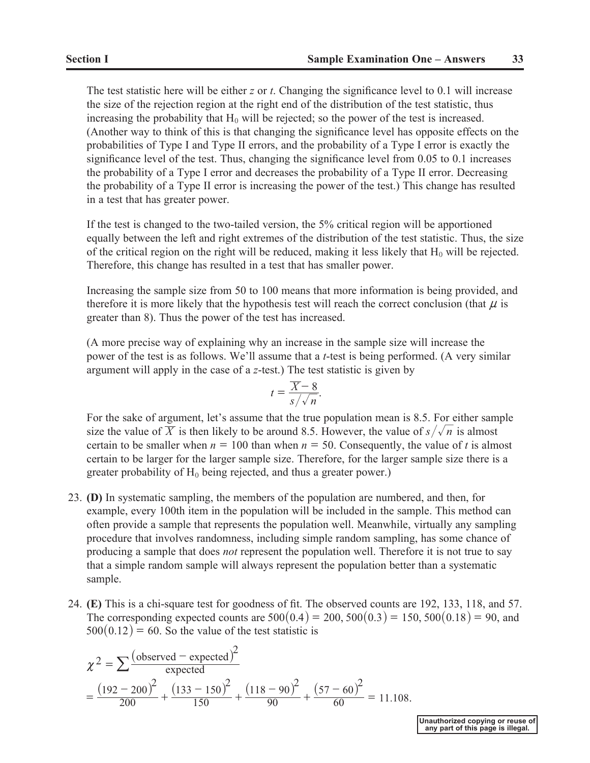The test statistic here will be either *z* or *t*. Changing the significance level to 0.1 will increase the size of the rejection region at the right end of the distribution of the test statistic, thus increasing the probability that  $H_0$  will be rejected; so the power of the test is increased. (Another way to think of this is that changing the significance level has opposite effects on the probabilities of Type I and Type II errors, and the probability of a Type I error is exactly the significance level of the test. Thus, changing the significance level from 0.05 to 0.1 increases the probability of a Type I error and decreases the probability of a Type II error. Decreasing the probability of a Type II error is increasing the power of the test.) This change has resulted in a test that has greater power.

If the test is changed to the two-tailed version, the 5% critical region will be apportioned equally between the left and right extremes of the distribution of the test statistic. Thus, the size of the critical region on the right will be reduced, making it less likely that  $H_0$  will be rejected. Therefore, this change has resulted in a test that has smaller power.

Increasing the sample size from 50 to 100 means that more information is being provided, and therefore it is more likely that the hypothesis test will reach the correct conclusion (that  $\mu$  is greater than 8). Thus the power of the test has increased.

(A more precise way of explaining why an increase in the sample size will increase the power of the test is as follows. We'll assume that a *t*-test is being performed. (A very similar argument will apply in the case of a *z*-test.) The test statistic is given by

$$
t = \frac{\overline{X} - 8}{s / \sqrt{n}}.
$$

For the sake of argument, let's assume that the true population mean is 8.5. For either sample size the value of  $\overline{X}$  is then likely to be around 8.5. However, the value of  $s/\sqrt{n}$  is almost certain to be smaller when  $n = 100$  than when  $n = 50$ . Consequently, the value of t is almost certain to be larger for the larger sample size. Therefore, for the larger sample size there is a greater probability of  $H_0$  being rejected, and thus a greater power.)

- 23. **(D)** In systematic sampling, the members of the population are numbered, and then, for example, every 100th item in the population will be included in the sample. This method can often provide a sample that represents the population well. Meanwhile, virtually any sampling procedure that involves randomness, including simple random sampling, has some chance of producing a sample that does *not* represent the population well. Therefore it is not true to say that a simple random sample will always represent the population better than a systematic sample.
- 24. **(E)** This is a chi-square test for goodness of fit. The observed counts are 192, 133, 118, and 57. The corresponding expected counts are  $500(0.4) = 200, 500(0.3) = 150, 500(0.18) = 90$ , and  $500(0.12) = 60$ . So the value of the test statistic is

$$
\chi^{2} = \sum \frac{\left(\text{observed} - \text{expected}\right)^{2}}{\text{expected}}
$$

$$
= \frac{\left(192 - 200\right)^{2}}{200} + \frac{\left(133 - 150\right)^{2}}{150} + \frac{\left(118 - 90\right)^{2}}{90} + \frac{\left(57 - 60\right)^{2}}{60} = 11.108.
$$